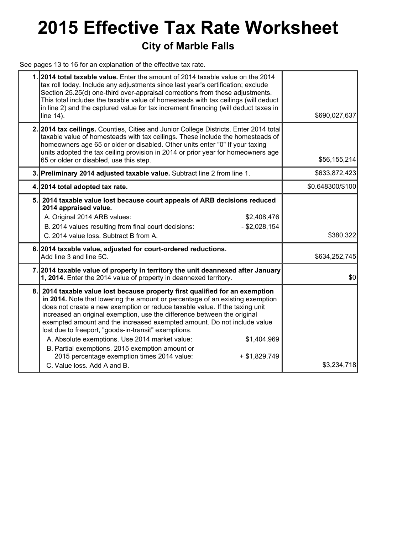## **2015 Effective Tax Rate Worksheet**

### **City of Marble Falls**

See pages 13 to 16 for an explanation of the effective tax rate.

|     | 1. 2014 total taxable value. Enter the amount of 2014 taxable value on the 2014<br>tax roll today. Include any adjustments since last year's certification; exclude<br>Section 25.25(d) one-third over-appraisal corrections from these adjustments.<br>This total includes the taxable value of homesteads with tax ceilings (will deduct<br>in line 2) and the captured value for tax increment financing (will deduct taxes in<br>line 14).                                                                                                                                                                                                                                | \$690,027,637    |
|-----|-------------------------------------------------------------------------------------------------------------------------------------------------------------------------------------------------------------------------------------------------------------------------------------------------------------------------------------------------------------------------------------------------------------------------------------------------------------------------------------------------------------------------------------------------------------------------------------------------------------------------------------------------------------------------------|------------------|
|     | 2. 2014 tax ceilings. Counties, Cities and Junior College Districts. Enter 2014 total<br>taxable value of homesteads with tax ceilings. These include the homesteads of<br>homeowners age 65 or older or disabled. Other units enter "0" If your taxing<br>units adopted the tax ceiling provision in 2014 or prior year for homeowners age<br>65 or older or disabled, use this step.                                                                                                                                                                                                                                                                                        | \$56,155,214     |
|     | 3. Preliminary 2014 adjusted taxable value. Subtract line 2 from line 1.                                                                                                                                                                                                                                                                                                                                                                                                                                                                                                                                                                                                      | \$633,872,423    |
|     | 4. 2014 total adopted tax rate.                                                                                                                                                                                                                                                                                                                                                                                                                                                                                                                                                                                                                                               | \$0.648300/\$100 |
| 5.1 | 2014 taxable value lost because court appeals of ARB decisions reduced<br>2014 appraised value.<br>A. Original 2014 ARB values:<br>\$2,408,476<br>B. 2014 values resulting from final court decisions:<br>$-$ \$2,028,154<br>C. 2014 value loss. Subtract B from A.                                                                                                                                                                                                                                                                                                                                                                                                           | \$380,322        |
|     | 6. 2014 taxable value, adjusted for court-ordered reductions.<br>Add line 3 and line 5C.                                                                                                                                                                                                                                                                                                                                                                                                                                                                                                                                                                                      | \$634,252,745    |
|     | 7. 2014 taxable value of property in territory the unit deannexed after January<br>1, 2014. Enter the 2014 value of property in deannexed territory.                                                                                                                                                                                                                                                                                                                                                                                                                                                                                                                          | \$0              |
| 8.1 | 2014 taxable value lost because property first qualified for an exemption<br>in 2014. Note that lowering the amount or percentage of an existing exemption<br>does not create a new exemption or reduce taxable value. If the taxing unit<br>increased an original exemption, use the difference between the original<br>exempted amount and the increased exempted amount. Do not include value<br>lost due to freeport, "goods-in-transit" exemptions.<br>A. Absolute exemptions. Use 2014 market value:<br>\$1,404,969<br>B. Partial exemptions. 2015 exemption amount or<br>2015 percentage exemption times 2014 value:<br>$+$ \$1,829,749<br>C. Value loss, Add A and B. | \$3,234,718      |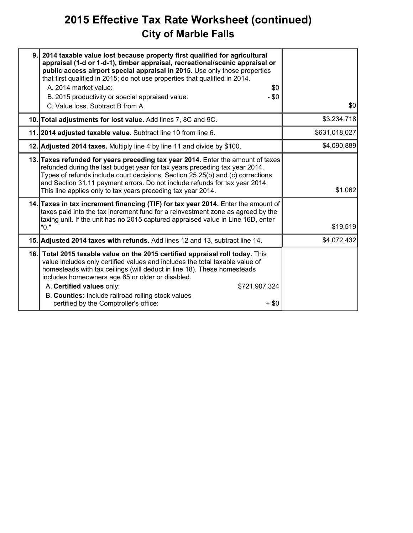## **2015 Effective Tax Rate Worksheet (continued) City of Marble Falls**

| 9. 2014 taxable value lost because property first qualified for agricultural<br>appraisal (1-d or 1-d-1), timber appraisal, recreational/scenic appraisal or<br>public access airport special appraisal in 2015. Use only those properties<br>that first qualified in 2015; do not use properties that qualified in 2014.<br>A. 2014 market value:<br>\$0<br>B. 2015 productivity or special appraised value:<br>$- $0$<br>C. Value loss. Subtract B from A. | \$0           |
|--------------------------------------------------------------------------------------------------------------------------------------------------------------------------------------------------------------------------------------------------------------------------------------------------------------------------------------------------------------------------------------------------------------------------------------------------------------|---------------|
| 10. Total adjustments for lost value. Add lines 7, 8C and 9C.                                                                                                                                                                                                                                                                                                                                                                                                | \$3,234,718   |
| 11. 2014 adjusted taxable value. Subtract line 10 from line 6.                                                                                                                                                                                                                                                                                                                                                                                               | \$631,018,027 |
| 12. Adjusted 2014 taxes. Multiply line 4 by line 11 and divide by \$100.                                                                                                                                                                                                                                                                                                                                                                                     | \$4,090,889   |
| 13. Taxes refunded for years preceding tax year 2014. Enter the amount of taxes<br>refunded during the last budget year for tax years preceding tax year 2014.<br>Types of refunds include court decisions, Section 25.25(b) and (c) corrections<br>and Section 31.11 payment errors. Do not include refunds for tax year 2014.<br>This line applies only to tax years preceding tax year 2014.                                                              | \$1,062       |
| 14. Taxes in tax increment financing (TIF) for tax year 2014. Enter the amount of<br>taxes paid into the tax increment fund for a reinvestment zone as agreed by the<br>taxing unit. If the unit has no 2015 captured appraised value in Line 16D, enter<br>"0."                                                                                                                                                                                             | \$19,519      |
| 15. Adjusted 2014 taxes with refunds. Add lines 12 and 13, subtract line 14.                                                                                                                                                                                                                                                                                                                                                                                 | \$4,072,432   |
| 16. Total 2015 taxable value on the 2015 certified appraisal roll today. This<br>value includes only certified values and includes the total taxable value of<br>homesteads with tax ceilings (will deduct in line 18). These homesteads<br>includes homeowners age 65 or older or disabled.<br>A. Certified values only:<br>\$721,907,324<br>B. Counties: Include railroad rolling stock values<br>certified by the Comptroller's office:<br>+ \$0          |               |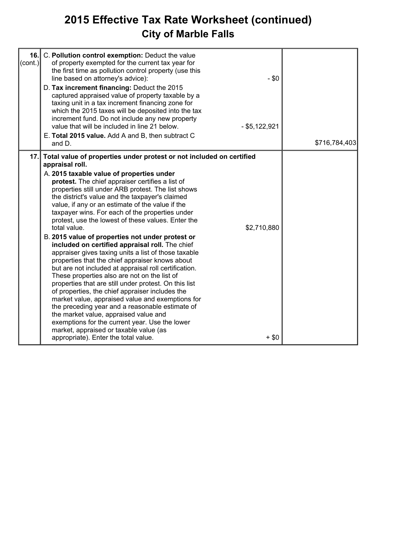## **2015 Effective Tax Rate Worksheet (continued) City of Marble Falls**

| 16.1<br>$ (\mathsf{cont.}) $ | C. Pollution control exemption: Deduct the value<br>of property exempted for the current tax year for<br>the first time as pollution control property (use this<br>line based on attorney's advice):<br>D. Tax increment financing: Deduct the 2015<br>captured appraised value of property taxable by a<br>taxing unit in a tax increment financing zone for<br>which the 2015 taxes will be deposited into the tax<br>increment fund. Do not include any new property<br>value that will be included in line 21 below.<br>E. Total 2015 value. Add A and B, then subtract C<br>and D.                                                                                                                                                                                                                                                                                                                                                                                                                                                                                                                                                                                                                   | $-$ \$0<br>$-$ \$5,122,921 | \$716,784,403 |
|------------------------------|-----------------------------------------------------------------------------------------------------------------------------------------------------------------------------------------------------------------------------------------------------------------------------------------------------------------------------------------------------------------------------------------------------------------------------------------------------------------------------------------------------------------------------------------------------------------------------------------------------------------------------------------------------------------------------------------------------------------------------------------------------------------------------------------------------------------------------------------------------------------------------------------------------------------------------------------------------------------------------------------------------------------------------------------------------------------------------------------------------------------------------------------------------------------------------------------------------------|----------------------------|---------------|
| 17.1                         | Total value of properties under protest or not included on certified<br>appraisal roll.<br>A. 2015 taxable value of properties under<br>protest. The chief appraiser certifies a list of<br>properties still under ARB protest. The list shows<br>the district's value and the taxpayer's claimed<br>value, if any or an estimate of the value if the<br>taxpayer wins. For each of the properties under<br>protest, use the lowest of these values. Enter the<br>total value.<br>B. 2015 value of properties not under protest or<br>included on certified appraisal roll. The chief<br>appraiser gives taxing units a list of those taxable<br>properties that the chief appraiser knows about<br>but are not included at appraisal roll certification.<br>These properties also are not on the list of<br>properties that are still under protest. On this list<br>of properties, the chief appraiser includes the<br>market value, appraised value and exemptions for<br>the preceding year and a reasonable estimate of<br>the market value, appraised value and<br>exemptions for the current year. Use the lower<br>market, appraised or taxable value (as<br>appropriate). Enter the total value. | \$2,710,880<br>$+$ \$0     |               |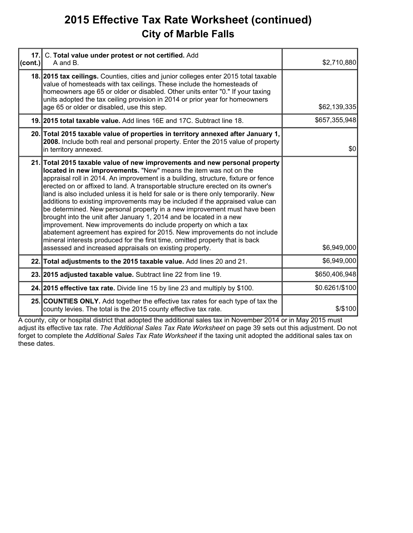### **2015 Effective Tax Rate Worksheet (continued) City of Marble Falls**

| 17.<br>(cont.) | C. Total value under protest or not certified. Add<br>A and B.                                                                                                                                                                                                                                                                                                                                                                                                                                                                                                                                                                                                                                                                                                                                                                                                                                                                               | \$2,710,880    |
|----------------|----------------------------------------------------------------------------------------------------------------------------------------------------------------------------------------------------------------------------------------------------------------------------------------------------------------------------------------------------------------------------------------------------------------------------------------------------------------------------------------------------------------------------------------------------------------------------------------------------------------------------------------------------------------------------------------------------------------------------------------------------------------------------------------------------------------------------------------------------------------------------------------------------------------------------------------------|----------------|
|                | 18. 2015 tax cellings. Counties, cities and junior colleges enter 2015 total taxable<br>value of homesteads with tax ceilings. These include the homesteads of<br>homeowners age 65 or older or disabled. Other units enter "0." If your taxing<br>units adopted the tax ceiling provision in 2014 or prior year for homeowners<br>age 65 or older or disabled, use this step.                                                                                                                                                                                                                                                                                                                                                                                                                                                                                                                                                               | \$62,139,335   |
|                | 19. 2015 total taxable value. Add lines 16E and 17C. Subtract line 18.                                                                                                                                                                                                                                                                                                                                                                                                                                                                                                                                                                                                                                                                                                                                                                                                                                                                       | \$657,355,948  |
|                | 20. Total 2015 taxable value of properties in territory annexed after January 1,<br>2008. Include both real and personal property. Enter the 2015 value of property<br>in territory annexed.                                                                                                                                                                                                                                                                                                                                                                                                                                                                                                                                                                                                                                                                                                                                                 | \$0            |
|                | 21. Total 2015 taxable value of new improvements and new personal property<br>located in new improvements. "New" means the item was not on the<br>appraisal roll in 2014. An improvement is a building, structure, fixture or fence<br>erected on or affixed to land. A transportable structure erected on its owner's<br>land is also included unless it is held for sale or is there only temporarily. New<br>additions to existing improvements may be included if the appraised value can<br>be determined. New personal property in a new improvement must have been<br>brought into the unit after January 1, 2014 and be located in a new<br>improvement. New improvements do include property on which a tax<br>abatement agreement has expired for 2015. New improvements do not include<br>mineral interests produced for the first time, omitted property that is back<br>assessed and increased appraisals on existing property. | \$6,949,000    |
|                | 22. Total adjustments to the 2015 taxable value. Add lines 20 and 21.                                                                                                                                                                                                                                                                                                                                                                                                                                                                                                                                                                                                                                                                                                                                                                                                                                                                        | \$6,949,000    |
|                | 23. 2015 adjusted taxable value. Subtract line 22 from line 19.                                                                                                                                                                                                                                                                                                                                                                                                                                                                                                                                                                                                                                                                                                                                                                                                                                                                              | \$650,406,948  |
|                | 24. 2015 effective tax rate. Divide line 15 by line 23 and multiply by \$100.                                                                                                                                                                                                                                                                                                                                                                                                                                                                                                                                                                                                                                                                                                                                                                                                                                                                | \$0.6261/\$100 |
|                | 25. COUNTIES ONLY. Add together the effective tax rates for each type of tax the<br>county levies. The total is the 2015 county effective tax rate.                                                                                                                                                                                                                                                                                                                                                                                                                                                                                                                                                                                                                                                                                                                                                                                          | \$/\$100       |

A county, city or hospital district that adopted the additional sales tax in November 2014 or in May 2015 must adjust its effective tax rate. *The Additional Sales Tax Rate Worksheet* on page 39 sets out this adjustment. Do not forget to complete the *Additional Sales Tax Rate Worksheet* if the taxing unit adopted the additional sales tax on these dates.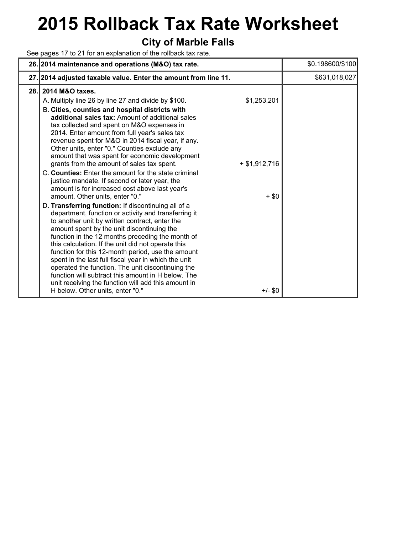# **2015 Rollback Tax Rate Worksheet**

#### **City of Marble Falls**

See pages 17 to 21 for an explanation of the rollback tax rate.

|      | 26. 2014 maintenance and operations (M&O) tax rate.                                                                                                                                                                                                                                                                                                                                                                                                                                                                                                                                                                                                                                                                                                                                                                                                            | \$0.198600/\$100 |
|------|----------------------------------------------------------------------------------------------------------------------------------------------------------------------------------------------------------------------------------------------------------------------------------------------------------------------------------------------------------------------------------------------------------------------------------------------------------------------------------------------------------------------------------------------------------------------------------------------------------------------------------------------------------------------------------------------------------------------------------------------------------------------------------------------------------------------------------------------------------------|------------------|
|      | 27. 2014 adjusted taxable value. Enter the amount from line 11.                                                                                                                                                                                                                                                                                                                                                                                                                                                                                                                                                                                                                                                                                                                                                                                                | \$631,018,027    |
| 28.I | 2014 M&O taxes.<br>A. Multiply line 26 by line 27 and divide by \$100.<br>\$1,253,201<br>B. Cities, counties and hospital districts with<br>additional sales tax: Amount of additional sales<br>tax collected and spent on M&O expenses in<br>2014. Enter amount from full year's sales tax<br>revenue spent for M&O in 2014 fiscal year, if any.<br>Other units, enter "0." Counties exclude any<br>amount that was spent for economic development<br>grants from the amount of sales tax spent.<br>$+$ \$1,912,716                                                                                                                                                                                                                                                                                                                                           |                  |
|      | C. Counties: Enter the amount for the state criminal<br>justice mandate. If second or later year, the<br>amount is for increased cost above last year's<br>amount. Other units, enter "0."<br>$+$ \$0<br>D. Transferring function: If discontinuing all of a<br>department, function or activity and transferring it<br>to another unit by written contract, enter the<br>amount spent by the unit discontinuing the<br>function in the 12 months preceding the month of<br>this calculation. If the unit did not operate this<br>function for this 12-month period, use the amount<br>spent in the last full fiscal year in which the unit<br>operated the function. The unit discontinuing the<br>function will subtract this amount in H below. The<br>unit receiving the function will add this amount in<br>H below. Other units, enter "0."<br>$+/-$ \$0 |                  |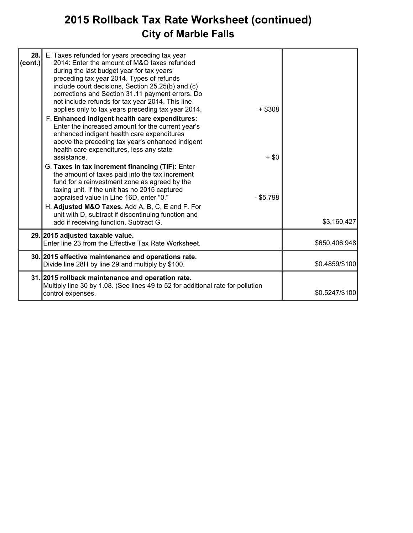## **2015 Rollback Tax Rate Worksheet (continued) City of Marble Falls**

| 28.<br> cont. | E. Taxes refunded for years preceding tax year<br>2014: Enter the amount of M&O taxes refunded<br>during the last budget year for tax years<br>preceding tax year 2014. Types of refunds<br>include court decisions, Section 25.25(b) and (c)<br>corrections and Section 31.11 payment errors. Do<br>not include refunds for tax year 2014. This line<br>$+$ \$308<br>applies only to tax years preceding tax year 2014.<br>F. Enhanced indigent health care expenditures:<br>Enter the increased amount for the current year's<br>enhanced indigent health care expenditures<br>above the preceding tax year's enhanced indigent<br>health care expenditures, less any state<br>assistance.<br>$+$ \$0<br>G. Taxes in tax increment financing (TIF): Enter<br>the amount of taxes paid into the tax increment<br>fund for a reinvestment zone as agreed by the<br>taxing unit. If the unit has no 2015 captured<br>appraised value in Line 16D, enter "0."<br>$-$ \$5,798 |                |
|---------------|----------------------------------------------------------------------------------------------------------------------------------------------------------------------------------------------------------------------------------------------------------------------------------------------------------------------------------------------------------------------------------------------------------------------------------------------------------------------------------------------------------------------------------------------------------------------------------------------------------------------------------------------------------------------------------------------------------------------------------------------------------------------------------------------------------------------------------------------------------------------------------------------------------------------------------------------------------------------------|----------------|
|               | H. Adjusted M&O Taxes. Add A, B, C, E and F. For<br>unit with D, subtract if discontinuing function and<br>add if receiving function. Subtract G.                                                                                                                                                                                                                                                                                                                                                                                                                                                                                                                                                                                                                                                                                                                                                                                                                          | \$3,160,427    |
|               | 29. 2015 adjusted taxable value.<br>Enter line 23 from the Effective Tax Rate Worksheet.                                                                                                                                                                                                                                                                                                                                                                                                                                                                                                                                                                                                                                                                                                                                                                                                                                                                                   | \$650,406,948  |
|               | 30. 2015 effective maintenance and operations rate.<br>Divide line 28H by line 29 and multiply by \$100.                                                                                                                                                                                                                                                                                                                                                                                                                                                                                                                                                                                                                                                                                                                                                                                                                                                                   | \$0.4859/\$100 |
|               | 31. 2015 rollback maintenance and operation rate.<br>Multiply line 30 by 1.08. (See lines 49 to 52 for additional rate for pollution<br>control expenses.                                                                                                                                                                                                                                                                                                                                                                                                                                                                                                                                                                                                                                                                                                                                                                                                                  | \$0.5247/\$100 |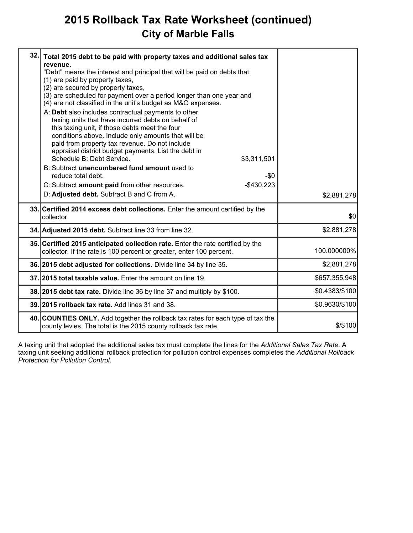## **2015 Rollback Tax Rate Worksheet (continued) City of Marble Falls**

| 32. | Total 2015 debt to be paid with property taxes and additional sales tax<br>revenue.<br>"Debt" means the interest and principal that will be paid on debts that:<br>(1) are paid by property taxes,<br>(2) are secured by property taxes,<br>(3) are scheduled for payment over a period longer than one year and<br>(4) are not classified in the unit's budget as M&O expenses.<br>A: Debt also includes contractual payments to other<br>taxing units that have incurred debts on behalf of<br>this taxing unit, if those debts meet the four<br>conditions above. Include only amounts that will be<br>paid from property tax revenue. Do not include<br>appraisal district budget payments. List the debt in<br>Schedule B: Debt Service.<br>\$3,311,501<br>B: Subtract unencumbered fund amount used to<br>reduce total debt.<br>-\$0<br>$-$430,223$<br>C: Subtract amount paid from other resources.<br>D: Adjusted debt. Subtract B and C from A. | \$2,881,278    |
|-----|----------------------------------------------------------------------------------------------------------------------------------------------------------------------------------------------------------------------------------------------------------------------------------------------------------------------------------------------------------------------------------------------------------------------------------------------------------------------------------------------------------------------------------------------------------------------------------------------------------------------------------------------------------------------------------------------------------------------------------------------------------------------------------------------------------------------------------------------------------------------------------------------------------------------------------------------------------|----------------|
|     | 33. Certified 2014 excess debt collections. Enter the amount certified by the<br>collector.                                                                                                                                                                                                                                                                                                                                                                                                                                                                                                                                                                                                                                                                                                                                                                                                                                                              | \$0            |
|     | 34. Adjusted 2015 debt. Subtract line 33 from line 32.                                                                                                                                                                                                                                                                                                                                                                                                                                                                                                                                                                                                                                                                                                                                                                                                                                                                                                   | \$2,881,278    |
|     | 35. Certified 2015 anticipated collection rate. Enter the rate certified by the<br>collector. If the rate is 100 percent or greater, enter 100 percent.                                                                                                                                                                                                                                                                                                                                                                                                                                                                                                                                                                                                                                                                                                                                                                                                  | 100.000000%    |
|     | 36. 2015 debt adjusted for collections. Divide line 34 by line 35.                                                                                                                                                                                                                                                                                                                                                                                                                                                                                                                                                                                                                                                                                                                                                                                                                                                                                       | \$2,881,278    |
|     | 37.12015 total taxable value. Enter the amount on line 19.                                                                                                                                                                                                                                                                                                                                                                                                                                                                                                                                                                                                                                                                                                                                                                                                                                                                                               | \$657,355,948  |
|     | 38. 2015 debt tax rate. Divide line 36 by line 37 and multiply by \$100.                                                                                                                                                                                                                                                                                                                                                                                                                                                                                                                                                                                                                                                                                                                                                                                                                                                                                 | \$0.4383/\$100 |
|     | 39. 2015 rollback tax rate. Add lines 31 and 38.                                                                                                                                                                                                                                                                                                                                                                                                                                                                                                                                                                                                                                                                                                                                                                                                                                                                                                         | \$0.9630/\$100 |
|     | 40. COUNTIES ONLY. Add together the rollback tax rates for each type of tax the<br>county levies. The total is the 2015 county rollback tax rate.                                                                                                                                                                                                                                                                                                                                                                                                                                                                                                                                                                                                                                                                                                                                                                                                        | \$/\$100       |

A taxing unit that adopted the additional sales tax must complete the lines for the *Additional Sales Tax Rate*. A taxing unit seeking additional rollback protection for pollution control expenses completes the *Additional Rollback Protection for Pollution Control*.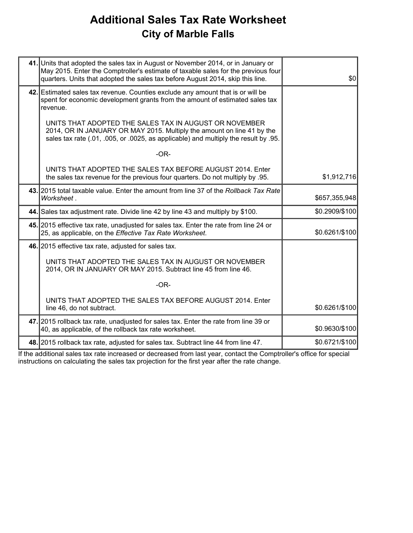## **Additional Sales Tax Rate Worksheet City of Marble Falls**

| May 2015. Enter the Comptroller's estimate of taxable sales for the previous four<br>quarters. Units that adopted the sales tax before August 2014, skip this line.                                                     | \$0                                                                                                                                                                                                                                                                                                                                                                                                                                                                                                                                                                                                                                                                            |
|-------------------------------------------------------------------------------------------------------------------------------------------------------------------------------------------------------------------------|--------------------------------------------------------------------------------------------------------------------------------------------------------------------------------------------------------------------------------------------------------------------------------------------------------------------------------------------------------------------------------------------------------------------------------------------------------------------------------------------------------------------------------------------------------------------------------------------------------------------------------------------------------------------------------|
| spent for economic development grants from the amount of estimated sales tax<br>revenue.                                                                                                                                |                                                                                                                                                                                                                                                                                                                                                                                                                                                                                                                                                                                                                                                                                |
| UNITS THAT ADOPTED THE SALES TAX IN AUGUST OR NOVEMBER<br>2014, OR IN JANUARY OR MAY 2015. Multiply the amount on line 41 by the<br>sales tax rate (.01, .005, or .0025, as applicable) and multiply the result by .95. |                                                                                                                                                                                                                                                                                                                                                                                                                                                                                                                                                                                                                                                                                |
| $-OR-$                                                                                                                                                                                                                  |                                                                                                                                                                                                                                                                                                                                                                                                                                                                                                                                                                                                                                                                                |
| UNITS THAT ADOPTED THE SALES TAX BEFORE AUGUST 2014. Enter<br>the sales tax revenue for the previous four quarters. Do not multiply by .95.                                                                             | \$1,912,716                                                                                                                                                                                                                                                                                                                                                                                                                                                                                                                                                                                                                                                                    |
| Worksheet.                                                                                                                                                                                                              | \$657,355,948                                                                                                                                                                                                                                                                                                                                                                                                                                                                                                                                                                                                                                                                  |
|                                                                                                                                                                                                                         | \$0.2909/\$100                                                                                                                                                                                                                                                                                                                                                                                                                                                                                                                                                                                                                                                                 |
| 25, as applicable, on the Effective Tax Rate Worksheet.                                                                                                                                                                 | \$0.6261/\$100                                                                                                                                                                                                                                                                                                                                                                                                                                                                                                                                                                                                                                                                 |
|                                                                                                                                                                                                                         |                                                                                                                                                                                                                                                                                                                                                                                                                                                                                                                                                                                                                                                                                |
| UNITS THAT ADOPTED THE SALES TAX IN AUGUST OR NOVEMBER<br>2014, OR IN JANUARY OR MAY 2015. Subtract line 45 from line 46.                                                                                               |                                                                                                                                                                                                                                                                                                                                                                                                                                                                                                                                                                                                                                                                                |
| $-OR-$                                                                                                                                                                                                                  |                                                                                                                                                                                                                                                                                                                                                                                                                                                                                                                                                                                                                                                                                |
| UNITS THAT ADOPTED THE SALES TAX BEFORE AUGUST 2014. Enter<br>line 46, do not subtract.                                                                                                                                 | \$0.6261/\$100                                                                                                                                                                                                                                                                                                                                                                                                                                                                                                                                                                                                                                                                 |
| 40, as applicable, of the rollback tax rate worksheet.                                                                                                                                                                  | \$0.9630/\$100                                                                                                                                                                                                                                                                                                                                                                                                                                                                                                                                                                                                                                                                 |
|                                                                                                                                                                                                                         | \$0.6721/\$100                                                                                                                                                                                                                                                                                                                                                                                                                                                                                                                                                                                                                                                                 |
|                                                                                                                                                                                                                         | 41. Units that adopted the sales tax in August or November 2014, or in January or<br>42. Estimated sales tax revenue. Counties exclude any amount that is or will be<br>43. 2015 total taxable value. Enter the amount from line 37 of the Rollback Tax Rate<br>44. Sales tax adjustment rate. Divide line 42 by line 43 and multiply by \$100.<br>45. 2015 effective tax rate, unadjusted for sales tax. Enter the rate from line 24 or<br>46. 2015 effective tax rate, adjusted for sales tax.<br>47. 2015 rollback tax rate, unadjusted for sales tax. Enter the rate from line 39 or<br>48. 2015 rollback tax rate, adjusted for sales tax. Subtract line 44 from line 47. |

If the additional sales tax rate increased or decreased from last year, contact the Comptroller's office for special instructions on calculating the sales tax projection for the first year after the rate change.